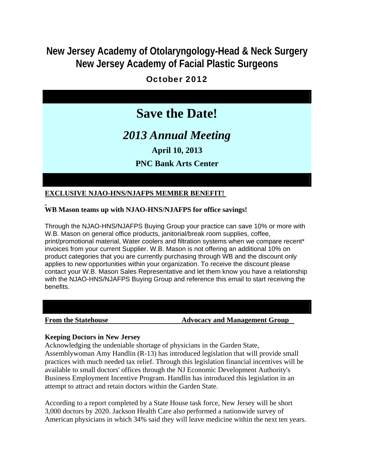## **New Jersey Academy of Otolaryngology-Head & Neck Surgery New Jersey Academy of Facial Plastic Surgeons**

### October 2012

# **Save the Date!**

*2013 Annual Meeting*

**April 10, 2013**

### **PNC Bank Arts Center**

#### **EXCLUSIVE NJAO-HNS/NJAFPS MEMBER BENEFIT!**

#### **WB Mason teams up with NJAO-HNS/NJAFPS for office savings!**

Through the NJAO-HNS/NJAFPS Buying Group your practice can save 10% or more with W.B. Mason on general office products, janitorial/break room supplies, coffee, print/promotional material, Water coolers and filtration systems when we compare recent\* invoices from your current Supplier. W.B. Mason is not offering an additional 10% on product categories that you are currently purchasing through WB and the discount only applies to new opportunities within your organization. To receive the discount please contact your W.B. Mason Sales Representative and let them know you have a relationship with the NJAO-HNS/NJAFPS Buying Group and reference this email to start receiving the benefits.

#### **From the Statehouse The Statehouse Advocacy and Management Group**

#### **Keeping Doctors in New Jersey**

Acknowledging the undeniable shortage of physicians in the Garden State, Assemblywoman Amy Handlin (R-13) has introduced legislation that will provide small practices with much needed tax relief. Through this legislation financial incentives will be available to small doctors' offices through the NJ Economic Development Authority's Business Employment Incentive Program. Handlin has introduced this legislation in an attempt to attract and retain doctors within the Garden State.

According to a report completed by a State House task force, New Jersey will be short 3,000 doctors by 2020. Jackson Health Care also performed a nationwide survey of American physicians in which 34% said they will leave medicine within the next ten years.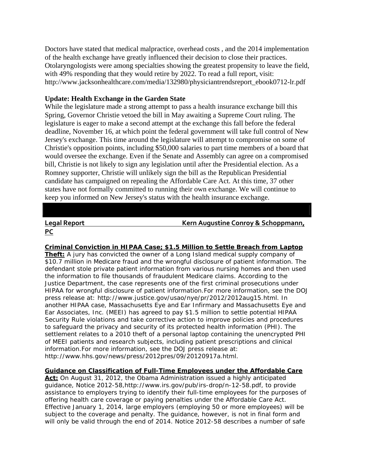Doctors have stated that medical malpractice, overhead costs , and the 2014 implementation of the health exchange have greatly influenced their decision to close their practices. Otolaryngologists were among specialties showing the greatest propensity to leave the field, with 49% responding that they would retire by 2022. To read a full report, visit: http://www.jacksonhealthcare.com/media/132980/physiciantrendsreport\_ebook0712-lr.pdf

#### **Update: Health Exchange in the Garden State**

While the legislature made a strong attempt to pass a health insurance exchange bill this Spring, Governor Christie vetoed the bill in May awaiting a Supreme Court ruling. The legislature is eager to make a second attempt at the exchange this fall before the federal deadline, November 16, at which point the federal government will take full control of New Jersey's exchange. This time around the legislature will attempt to compromise on some of Christie's opposition points, including \$50,000 salaries to part time members of a board that would oversee the exchange. Even if the Senate and Assembly can agree on a compromised bill, Christie is not likely to sign any legislation until after the Presidential election. As a Romney supporter, Christie will unlikely sign the bill as the Republican Presidential candidate has campaigned on repealing the Affordable Care Act. At this time, 37 other states have not formally committed to running their own exchange. We will continue to keep you informed on New Jersey's status with the health insurance exchange.

# **PC**

**Legal Report Kern Augustine Conroy & Schoppmann,**

**Criminal Conviction in HIPAA Case; \$1.5 Million to Settle Breach from Laptop Theft:** A jury has convicted the owner of a Long Island medical supply company of \$10.7 million in Medicare fraud and the wrongful disclosure of patient information. The defendant stole private patient information from various nursing homes and then used the information to file thousands of fraudulent Medicare claims. According to the Justice Department, the case represents one of the first criminal prosecutions under HIPAA for wrongful disclosure of patient information.For more information, see the DOJ press release at: http://www.justice.gov/usao/nye/pr/2012/2012aug15.html. In another HIPAA case, Massachusetts Eye and Ear Infirmary and Massachusetts Eye and Ear Associates, Inc. (MEEI) has agreed to pay \$1.5 million to settle potential HIPAA Security Rule violations and take corrective action to improve policies and procedures to safeguard the privacy and security of its protected health information (PHI). The settlement relates to a 2010 theft of a personal laptop containing the unencrypted PHI of MEEI patients and research subjects, including patient prescriptions and clinical information.For more information, see the DOJ press release at: http://www.hhs.gov/news/press/2012pres/09/20120917a.html.

#### **Guidance on Classification of Full-Time Employees under the Affordable Care**

**Act:** On August 31, 2012, the Obama Administration issued a highly anticipated guidance, Notice 2012-58,http://www.irs.gov/pub/irs-drop/n-12-58.pdf, to provide assistance to employers trying to identify their full-time employees for the purposes of offering health care coverage or paying penalties under the Affordable Care Act. Effective January 1, 2014, large employers (employing 50 or more employees) will be subject to the coverage and penalty. The guidance, however, is not in final form and will only be valid through the end of 2014. Notice 2012-58 describes a number of safe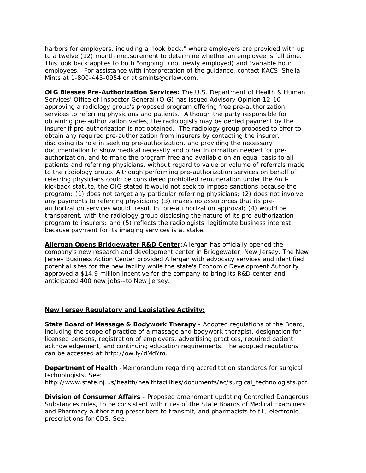harbors for employers, including a "look back," where employers are provided with up to a twelve (12) month measurement to determine whether an employee is full time. This look back applies to both "ongoing" (not newly employed) and "variable hour employees." For assistance with interpretation of the guidance, contact KACS' Sheila Mints at 1-800-445-0954 or at smints@drlaw.com.

**OIG Blesses Pre-Authorization Services:** The U.S. Department of Health & Human Services' Office of Inspector General (OIG) has issued Advisory Opinion 12-10 approving a radiology group's proposed program offering free pre-authorization services to referring physicians and patients. Although the party responsible for obtaining pre-authorization varies, the radiologists may be denied payment by the insurer if pre-authorization is not obtained. The radiology group proposed to offer to obtain any required pre-authorization from insurers by contacting the insurer, disclosing its role in seeking pre-authorization, and providing the necessary documentation to show medical necessity and other information needed for preauthorization, and to make the program free and available on an equal basis to all patients and referring physicians, without regard to value or volume of referrals made to the radiology group. Although performing pre-authorization services on behalf of referring physicians could be considered prohibited remuneration under the Antikickback statute, the OIG stated it would not seek to impose sanctions because the program: (1) does not target any particular referring physicians; (2) does not involve any payments to referring physicians; (3) makes no assurances that its preauthorization services would result in pre-authorization approval; (4) would be transparent, with the radiology group disclosing the nature of its pre-authorization program to insurers; and (5) reflects the radiologists' legitimate business interest because payment for its imaging services is at stake.

**Allergan Opens Bridgewater R&D Center**:Allergan has officially opened the company's new research and development center in Bridgewater, New Jersey. The New Jersey Business Action Center provided Allergan with advocacy services and identified potential sites for the new facility while the state's Economic Development Authority approved a \$14.9 million incentive for the company to bring its R&D center-and anticipated 400 new jobs--to New Jersey.

#### **New Jersey Regulatory and Legislative Activity:**

**State Board of Massage & Bodywork Therapy** - Adopted regulations of the Board, including the scope of practice of a massage and bodywork therapist, designation for licensed persons, registration of employers, advertising practices, required patient acknowledgement, and continuing education requirements. The adopted regulations can be accessed at:http://ow.ly/dMdYm.

**Department of Health** -Memorandum regarding accreditation standards for surgical technologists. See: http://www.state.nj.us/health/healthfacilities/documents/ac/surgical\_technologists.pdf.

**Division of Consumer Affairs** - Proposed amendment updating Controlled Dangerous Substances rules, to be consistent with rules of the State Boards of Medical Examiners and Pharmacy authorizing prescribers to transmit, and pharmacists to fill, electronic prescriptions for CDS. See: